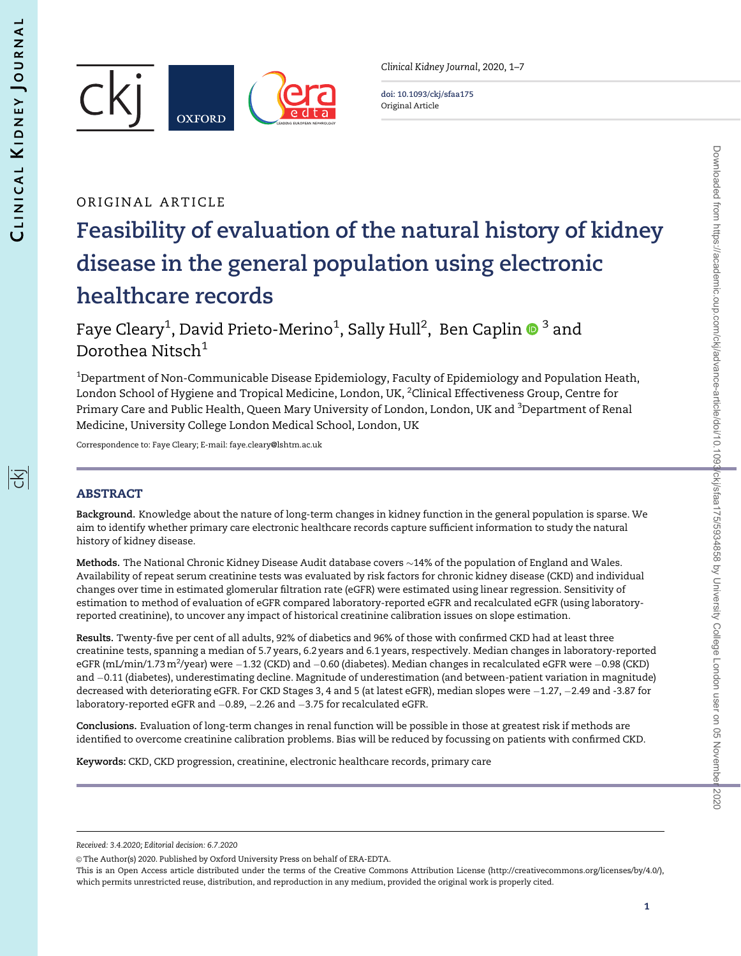序



Clinical Kidney Journal, 2020, 1–7

doi: 10.1093/ckj/sfaa175 Original Article

# ORIGINAL ARTICLE

# Feasibility of evaluation of the natural history of kidney disease in the general population using electronic healthcare records

Faye Cleary<sup>1</sup>, David Prieto-Merino<sup>1</sup>, Sally Hull<sup>2</sup>, Ben Caplin  $\mathbf{0}$   $^3$  and Dorothea Nitsch<sup>1</sup>

 $^{\rm 1}$ Department of Non-Communicable Disease Epidemiology, Faculty of Epidemiology and Population Heath, London School of Hygiene and Tropical Medicine, London, UK,  $^2$ Clinical Effectiveness Group, Centre for Primary Care and Public Health, Queen Mary University of London, London, UK and <sup>3</sup>Department of Renal Medicine, University College London Medical School, London, UK

Correspondence to: Faye Cleary; E-mail: faye.cleary@lshtm.ac.uk

# ABSTRACT

Background. Knowledge about the nature of long-term changes in kidney function in the general population is sparse. We aim to identify whether primary care electronic healthcare records capture sufficient information to study the natural history of kidney disease.

**Methods.** The National Chronic Kidney Disease Audit database covers  $\sim$ 14% of the population of England and Wales. Availability of repeat serum creatinine tests was evaluated by risk factors for chronic kidney disease (CKD) and individual changes over time in estimated glomerular filtration rate (eGFR) were estimated using linear regression. Sensitivity of estimation to method of evaluation of eGFR compared laboratory-reported eGFR and recalculated eGFR (using laboratoryreported creatinine), to uncover any impact of historical creatinine calibration issues on slope estimation.

Results. Twenty-five per cent of all adults, 92% of diabetics and 96% of those with confirmed CKD had at least three creatinine tests, spanning a median of 5.7 years, 6.2 years and 6.1 years, respectively. Median changes in laboratory-reported eGFR (mL/min/1.73 m<sup>2</sup>/year) were –1.32 (CKD) and –0.60 (diabetes). Median changes in recalculated eGFR were –0.98 (CKD) and -0.11 (diabetes), underestimating decline. Magnitude of underestimation (and between-patient variation in magnitude) decreased with deteriorating eGFR. For CKD Stages 3, 4 and 5 (at latest eGFR), median slopes were  $-1.27$ ,  $-2.49$  and -3.87 for laboratory-reported eGFR and  $-0.89$ ,  $-2.26$  and  $-3.75$  for recalculated eGFR.

Conclusions. Evaluation of long-term changes in renal function will be possible in those at greatest risk if methods are identified to overcome creatinine calibration problems. Bias will be reduced by focussing on patients with confirmed CKD.

Keywords: CKD, CKD progression, creatinine, electronic healthcare records, primary care

Received: 3.4.2020; Editorial decision: 6.7.2020

 $\circ$  The Author(s) 2020. Published by Oxford University Press on behalf of ERA-EDTA.

This is an Open Access article distributed under the terms of the Creative Commons Attribution License (http://creativecommons.org/licenses/by/4.0/), which permits unrestricted reuse, distribution, and reproduction in any medium, provided the original work is properly cited.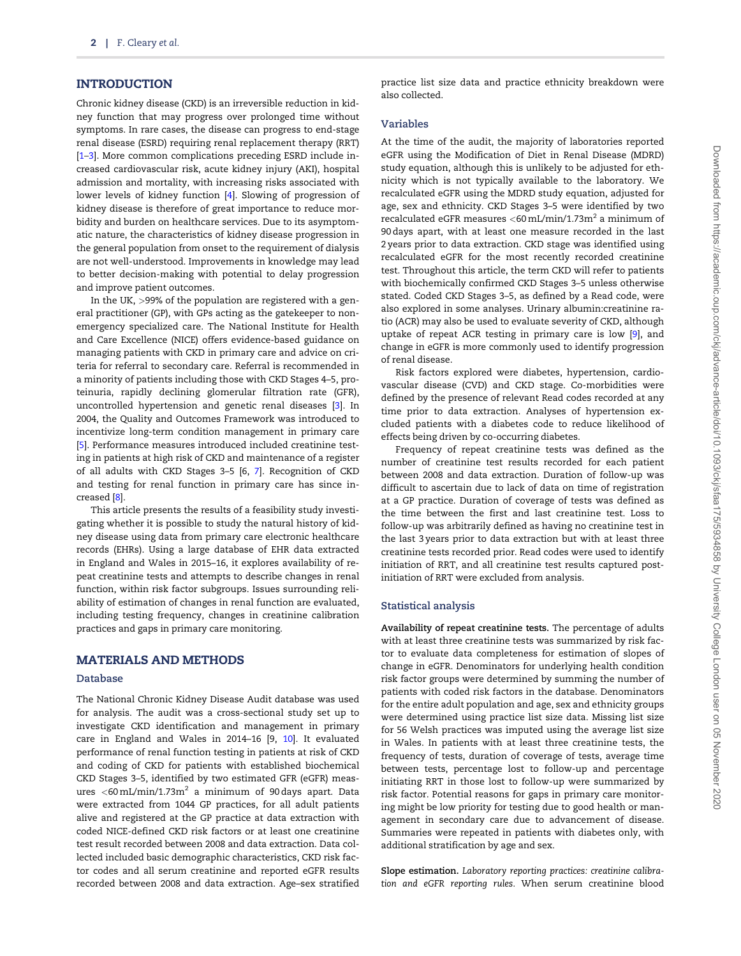#### <span id="page-1-0"></span>INTRODUCTION

Chronic kidney disease (CKD) is an irreversible reduction in kidney function that may progress over prolonged time without symptoms. In rare cases, the disease can progress to end-stage renal disease (ESRD) requiring renal replacement therapy (RRT) [\[1–3\]](#page-5-0). More common complications preceding ESRD include increased cardiovascular risk, acute kidney injury (AKI), hospital admission and mortality, with increasing risks associated with lower levels of kidney function [[4](#page-5-0)]. Slowing of progression of kidney disease is therefore of great importance to reduce morbidity and burden on healthcare services. Due to its asymptomatic nature, the characteristics of kidney disease progression in the general population from onset to the requirement of dialysis are not well-understood. Improvements in knowledge may lead to better decision-making with potential to delay progression and improve patient outcomes.

In the UK, >99% of the population are registered with a general practitioner (GP), with GPs acting as the gatekeeper to nonemergency specialized care. The National Institute for Health and Care Excellence (NICE) offers evidence-based guidance on managing patients with CKD in primary care and advice on criteria for referral to secondary care. Referral is recommended in a minority of patients including those with CKD Stages 4–5, proteinuria, rapidly declining glomerular filtration rate (GFR), uncontrolled hypertension and genetic renal diseases [[3](#page-5-0)]. In 2004, the Quality and Outcomes Framework was introduced to incentivize long-term condition management in primary care [\[5\]](#page-5-0). Performance measures introduced included creatinine testing in patients at high risk of CKD and maintenance of a register of all adults with CKD Stages 3–5 [6, [7](#page-5-0)]. Recognition of CKD and testing for renal function in primary care has since increased [\[8](#page-5-0)].

This article presents the results of a feasibility study investigating whether it is possible to study the natural history of kidney disease using data from primary care electronic healthcare records (EHRs). Using a large database of EHR data extracted in England and Wales in 2015–16, it explores availability of repeat creatinine tests and attempts to describe changes in renal function, within risk factor subgroups. Issues surrounding reliability of estimation of changes in renal function are evaluated, including testing frequency, changes in creatinine calibration practices and gaps in primary care monitoring.

## MATERIALS AND METHODS

## Database

The National Chronic Kidney Disease Audit database was used for analysis. The audit was a cross-sectional study set up to investigate CKD identification and management in primary care in England and Wales in 2014–16 [9, [10](#page-5-0)]. It evaluated performance of renal function testing in patients at risk of CKD and coding of CKD for patients with established biochemical CKD Stages 3–5, identified by two estimated GFR (eGFR) measures <60 mL/min/1.73 $m^2$  a minimum of 90 days apart. Data were extracted from 1044 GP practices, for all adult patients alive and registered at the GP practice at data extraction with coded NICE-defined CKD risk factors or at least one creatinine test result recorded between 2008 and data extraction. Data collected included basic demographic characteristics, CKD risk factor codes and all serum creatinine and reported eGFR results recorded between 2008 and data extraction. Age–sex stratified

practice list size data and practice ethnicity breakdown were also collected.

#### Variables

At the time of the audit, the majority of laboratories reported eGFR using the Modification of Diet in Renal Disease (MDRD) study equation, although this is unlikely to be adjusted for ethnicity which is not typically available to the laboratory. We recalculated eGFR using the MDRD study equation, adjusted for age, sex and ethnicity. CKD Stages 3–5 were identified by two recalculated eGFR measures  $<$  60 mL/min/1.73m<sup>2</sup> a minimum of 90 days apart, with at least one measure recorded in the last 2 years prior to data extraction. CKD stage was identified using recalculated eGFR for the most recently recorded creatinine test. Throughout this article, the term CKD will refer to patients with biochemically confirmed CKD Stages 3–5 unless otherwise stated. Coded CKD Stages 3–5, as defined by a Read code, were also explored in some analyses. Urinary albumin:creatinine ratio (ACR) may also be used to evaluate severity of CKD, although uptake of repeat ACR testing in primary care is low [[9](#page-5-0)], and change in eGFR is more commonly used to identify progression of renal disease.

Risk factors explored were diabetes, hypertension, cardiovascular disease (CVD) and CKD stage. Co-morbidities were defined by the presence of relevant Read codes recorded at any time prior to data extraction. Analyses of hypertension excluded patients with a diabetes code to reduce likelihood of effects being driven by co-occurring diabetes.

Frequency of repeat creatinine tests was defined as the number of creatinine test results recorded for each patient between 2008 and data extraction. Duration of follow-up was difficult to ascertain due to lack of data on time of registration at a GP practice. Duration of coverage of tests was defined as the time between the first and last creatinine test. Loss to follow-up was arbitrarily defined as having no creatinine test in the last 3 years prior to data extraction but with at least three creatinine tests recorded prior. Read codes were used to identify initiation of RRT, and all creatinine test results captured postinitiation of RRT were excluded from analysis.

#### Statistical analysis

Availability of repeat creatinine tests. The percentage of adults with at least three creatinine tests was summarized by risk factor to evaluate data completeness for estimation of slopes of change in eGFR. Denominators for underlying health condition risk factor groups were determined by summing the number of patients with coded risk factors in the database. Denominators for the entire adult population and age, sex and ethnicity groups were determined using practice list size data. Missing list size for 56 Welsh practices was imputed using the average list size in Wales. In patients with at least three creatinine tests, the frequency of tests, duration of coverage of tests, average time between tests, percentage lost to follow-up and percentage initiating RRT in those lost to follow-up were summarized by risk factor. Potential reasons for gaps in primary care monitoring might be low priority for testing due to good health or management in secondary care due to advancement of disease. Summaries were repeated in patients with diabetes only, with additional stratification by age and sex.

Slope estimation. Laboratory reporting practices: creatinine calibration and eGFR reporting rules. When serum creatinine blood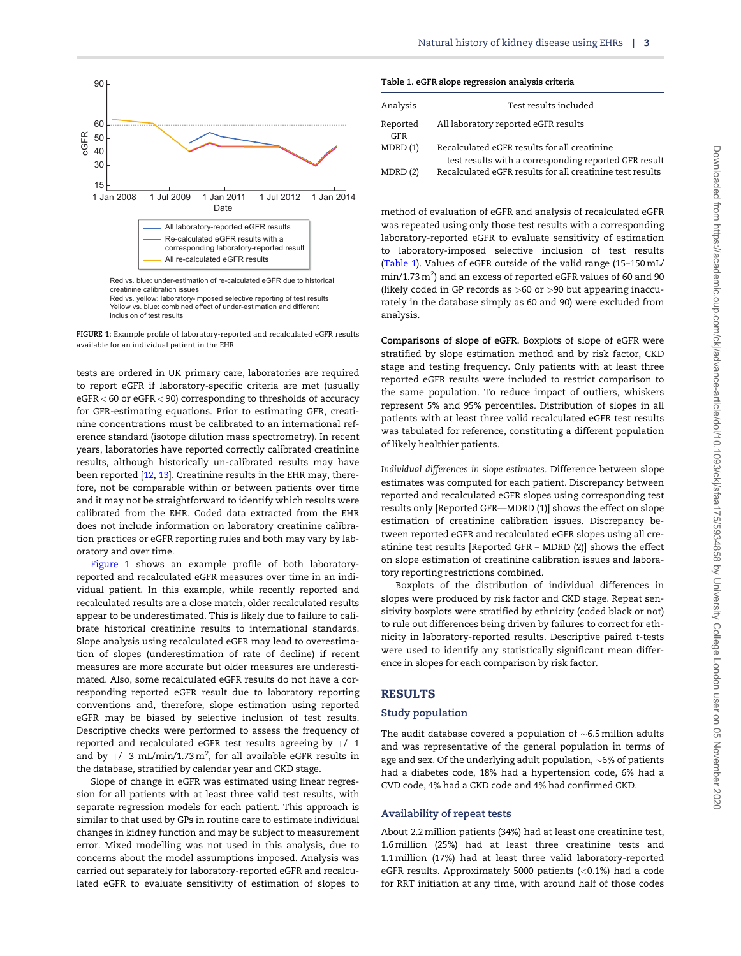<span id="page-2-0"></span>

creatinine calibration issues Red vs. yellow: laboratory-imposed selective reporting of test results Yellow vs. blue: combined effect of under-estimation and different inclusion of test results



tests are ordered in UK primary care, laboratories are required to report eGFR if laboratory-specific criteria are met (usually eGFR < 60 or eGFR < 90) corresponding to thresholds of accuracy for GFR-estimating equations. Prior to estimating GFR, creatinine concentrations must be calibrated to an international reference standard (isotope dilution mass spectrometry). In recent years, laboratories have reported correctly calibrated creatinine results, although historically un-calibrated results may have been reported [[12](#page-6-0), [13\]](#page-6-0). Creatinine results in the EHR may, therefore, not be comparable within or between patients over time and it may not be straightforward to identify which results were calibrated from the EHR. Coded data extracted from the EHR does not include information on laboratory creatinine calibration practices or eGFR reporting rules and both may vary by laboratory and over time.

Figure 1 shows an example profile of both laboratoryreported and recalculated eGFR measures over time in an individual patient. In this example, while recently reported and recalculated results are a close match, older recalculated results appear to be underestimated. This is likely due to failure to calibrate historical creatinine results to international standards. Slope analysis using recalculated eGFR may lead to overestimation of slopes (underestimation of rate of decline) if recent measures are more accurate but older measures are underestimated. Also, some recalculated eGFR results do not have a corresponding reported eGFR result due to laboratory reporting conventions and, therefore, slope estimation using reported eGFR may be biased by selective inclusion of test results. Descriptive checks were performed to assess the frequency of reported and recalculated eGFR test results agreeing by  $+/-1$ and by  $+/-3$  mL/min/1.73 m<sup>2</sup>, for all available eGFR results in the database, stratified by calendar year and CKD stage.

Slope of change in eGFR was estimated using linear regression for all patients with at least three valid test results, with separate regression models for each patient. This approach is similar to that used by GPs in routine care to estimate individual changes in kidney function and may be subject to measurement error. Mixed modelling was not used in this analysis, due to concerns about the model assumptions imposed. Analysis was carried out separately for laboratory-reported eGFR and recalculated eGFR to evaluate sensitivity of estimation of slopes to

#### Table 1. eGFR slope regression analysis criteria

| Analysis               | Test results included                                                                                 |
|------------------------|-------------------------------------------------------------------------------------------------------|
| Reported<br><b>GFR</b> | All laboratory reported eGFR results                                                                  |
| MDRD(1)                | Recalculated eGFR results for all creatinine<br>test results with a corresponding reported GFR result |
| MDRD(2)                | Recalculated eGFR results for all creatinine test results                                             |

method of evaluation of eGFR and analysis of recalculated eGFR was repeated using only those test results with a corresponding laboratory-reported eGFR to evaluate sensitivity of estimation to laboratory-imposed selective inclusion of test results (Table 1). Values of eGFR outside of the valid range (15–150 mL/  $min/1.73 m<sup>2</sup>$ ) and an excess of reported eGFR values of 60 and 90 (likely coded in GP records as >60 or >90 but appearing inaccurately in the database simply as 60 and 90) were excluded from analysis.

Comparisons of slope of eGFR. Boxplots of slope of eGFR were stratified by slope estimation method and by risk factor, CKD stage and testing frequency. Only patients with at least three reported eGFR results were included to restrict comparison to the same population. To reduce impact of outliers, whiskers represent 5% and 95% percentiles. Distribution of slopes in all patients with at least three valid recalculated eGFR test results was tabulated for reference, constituting a different population of likely healthier patients.

Individual differences in slope estimates. Difference between slope estimates was computed for each patient. Discrepancy between reported and recalculated eGFR slopes using corresponding test results only [Reported GFR—MDRD (1)] shows the effect on slope estimation of creatinine calibration issues. Discrepancy between reported eGFR and recalculated eGFR slopes using all creatinine test results [Reported GFR – MDRD (2)] shows the effect on slope estimation of creatinine calibration issues and laboratory reporting restrictions combined.

Boxplots of the distribution of individual differences in slopes were produced by risk factor and CKD stage. Repeat sensitivity boxplots were stratified by ethnicity (coded black or not) to rule out differences being driven by failures to correct for ethnicity in laboratory-reported results. Descriptive paired t-tests were used to identify any statistically significant mean difference in slopes for each comparison by risk factor.

## RESULTS

#### Study population

The audit database covered a population of  $\sim$ 6.5 million adults and was representative of the general population in terms of age and sex. Of the underlying adult population,  ${\sim}6\%$  of patients had a diabetes code, 18% had a hypertension code, 6% had a CVD code, 4% had a CKD code and 4% had confirmed CKD.

#### Availability of repeat tests

About 2.2 million patients (34%) had at least one creatinine test, 1.6 million (25%) had at least three creatinine tests and 1.1 million (17%) had at least three valid laboratory-reported eGFR results. Approximately 5000 patients (<0.1%) had a code for RRT initiation at any time, with around half of those codes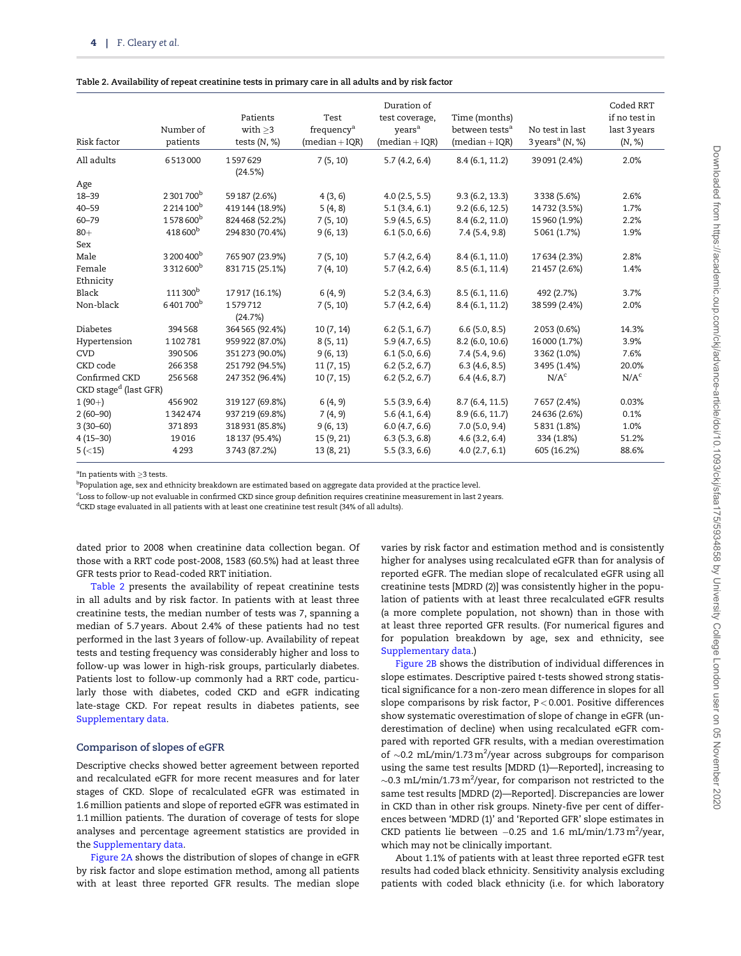|  |  |  |  | Table 2. Availability of repeat creatinine tests in primary care in all adults and by risk factor |  |  |  |  |  |  |  |
|--|--|--|--|---------------------------------------------------------------------------------------------------|--|--|--|--|--|--|--|
|--|--|--|--|---------------------------------------------------------------------------------------------------|--|--|--|--|--|--|--|

| Risk factor                       | Number of<br>patients      | Patients<br>with $>3$<br>tests $(N, %)$ | Test<br>frequency <sup>a</sup><br>$(median + IQR)$ | Duration of<br>test coverage,<br>years <sup>a</sup><br>$(median + IQR)$ | Time (months)<br>between tests <sup>a</sup><br>$(median + IQR)$ | No test in last<br>$3$ years <sup>a</sup> (N, %) | Coded RRT<br>if no test in<br>last 3 years<br>(N, %) |
|-----------------------------------|----------------------------|-----------------------------------------|----------------------------------------------------|-------------------------------------------------------------------------|-----------------------------------------------------------------|--------------------------------------------------|------------------------------------------------------|
| All adults                        | 6513000                    | 1597629                                 | 7(5, 10)                                           | 5.7(4.2, 6.4)                                                           | 8.4(6.1, 11.2)                                                  | 39 091 (2.4%)                                    | 2.0%                                                 |
|                                   |                            | (24.5%)                                 |                                                    |                                                                         |                                                                 |                                                  |                                                      |
| Age                               |                            |                                         |                                                    |                                                                         |                                                                 |                                                  |                                                      |
| $18 - 39$                         | 2 301 700 <sup>b</sup>     | 59 187 (2.6%)                           | 4(3, 6)                                            | 4.0(2.5, 5.5)                                                           | 9.3(6.2, 13.3)                                                  | 3 3 3 (5.6%)                                     | 2.6%                                                 |
| $40 - 59$                         | 2 2 1 4 1 0 0 <sup>b</sup> | 419 144 (18.9%)                         | 5(4, 8)                                            | 5.1(3.4, 6.1)                                                           | 9.2(6.6, 12.5)                                                  | 14732 (3.5%)                                     | 1.7%                                                 |
| $60 - 79$                         | 1578600 <sup>b</sup>       | 824 468 (52.2%)                         | 7(5, 10)                                           | 5.9(4.5, 6.5)                                                           | 8.4(6.2, 11.0)                                                  | 15 960 (1.9%)                                    | 2.2%                                                 |
| $80+$                             | $418600^{\rm b}$           | 294 830 (70.4%)                         | 9(6, 13)                                           | $6.1$ (5.0, 6.6)                                                        | 7.4(5.4, 9.8)                                                   | 5 061 (1.7%)                                     | 1.9%                                                 |
| Sex                               |                            |                                         |                                                    |                                                                         |                                                                 |                                                  |                                                      |
| Male                              | 3 200 400 <sup>b</sup>     | 765 907 (23.9%)                         | 7(5, 10)                                           | 5.7(4.2, 6.4)                                                           | 8.4(6.1, 11.0)                                                  | 17634 (2.3%)                                     | 2.8%                                                 |
| Female                            | 3 3 1 2 6 0 0 <sup>b</sup> | 831715 (25.1%)                          | 7(4, 10)                                           | 5.7(4.2, 6.4)                                                           | 8.5(6.1, 11.4)                                                  | 21457 (2.6%)                                     | 1.4%                                                 |
| Ethnicity                         |                            |                                         |                                                    |                                                                         |                                                                 |                                                  |                                                      |
| Black                             | $111300^{\rm b}$           | 17917 (16.1%)                           | 6(4, 9)                                            | 5.2(3.4, 6.3)                                                           | 8.5(6.1, 11.6)                                                  | 492 (2.7%)                                       | 3.7%                                                 |
| Non-black                         | 6401700 <sup>b</sup>       | 1579712                                 | 7(5, 10)                                           | 5.7(4.2, 6.4)                                                           | 8.4(6.1, 11.2)                                                  | 38 599 (2.4%)                                    | 2.0%                                                 |
|                                   |                            | (24.7%)                                 |                                                    |                                                                         |                                                                 |                                                  |                                                      |
| <b>Diabetes</b>                   | 394568                     | 364 565 (92.4%)                         | 10(7, 14)                                          | 6.2(5.1, 6.7)                                                           | $6.6$ (5.0, 8.5)                                                | 2053 (0.6%)                                      | 14.3%                                                |
| Hypertension                      | 1102781                    | 959 922 (87.0%)                         | 8(5, 11)                                           | 5.9(4.7, 6.5)                                                           | 8.2(6.0, 10.6)                                                  | 16 000 (1.7%)                                    | 3.9%                                                 |
| <b>CVD</b>                        | 390 506                    | 351 273 (90.0%)                         | 9(6, 13)                                           | 6.1(5.0, 6.6)                                                           | 7.4(5.4, 9.6)                                                   | 3 3 6 2 (1.0%)                                   | 7.6%                                                 |
| CKD code                          | 266358                     | 251792 (94.5%)                          | 11(7, 15)                                          | 6.2(5.2, 6.7)                                                           | 6.3(4.6, 8.5)                                                   | 3495 (1.4%)                                      | 20.0%                                                |
| Confirmed CKD                     | 256568                     | 247 352 (96.4%)                         | 10(7, 15)                                          | 6.2(5.2, 6.7)                                                           | 6.4(4.6, 8.7)                                                   | N/A <sup>c</sup>                                 | N/A <sup>c</sup>                                     |
| CKD stage <sup>d</sup> (last GFR) |                            |                                         |                                                    |                                                                         |                                                                 |                                                  |                                                      |
| $1(90+)$                          | 456902                     | 319127 (69.8%)                          | 6(4, 9)                                            | 5.5(3.9, 6.4)                                                           | 8.7(6.4, 11.5)                                                  | 7 657 (2.4%)                                     | 0.03%                                                |
| $2(60-90)$                        | 1342474                    | 937 219 (69.8%)                         | 7(4, 9)                                            | 5.6(4.1, 6.4)                                                           | 8.9(6.6, 11.7)                                                  | 24 636 (2.6%)                                    | 0.1%                                                 |
| $3(30-60)$                        | 371893                     | 318931 (85.8%)                          | 9(6, 13)                                           | 6.0(4.7, 6.6)                                                           | 7.0(5.0, 9.4)                                                   | 5 831 (1.8%)                                     | 1.0%                                                 |
| $4(15-30)$                        | 19016                      | 18 137 (95.4%)                          | 15 (9, 21)                                         | 6.3(5.3, 6.8)                                                           | 4.6(3.2, 6.4)                                                   | 334 (1.8%)                                       | 51.2%                                                |
| 5 (< 15)                          | 4293                       | 3743 (87.2%)                            | 13 (8, 21)                                         | 5.5(3.3, 6.6)                                                           | 4.0(2.7, 6.1)                                                   | 605 (16.2%)                                      | 88.6%                                                |

 $a$ In patients with  $\geq$ 3 tests.

<sup>b</sup>Population age, sex and ethnicity breakdown are estimated based on aggregate data provided at the practice level.

c Loss to follow-up not evaluable in confirmed CKD since group definition requires creatinine measurement in last 2 years.

<sup>d</sup>CKD stage evaluated in all patients with at least one creatinine test result (34% of all adults).

dated prior to 2008 when creatinine data collection began. Of those with a RRT code post-2008, 1583 (60.5%) had at least three GFR tests prior to Read-coded RRT initiation.

Table 2 presents the availability of repeat creatinine tests in all adults and by risk factor. In patients with at least three creatinine tests, the median number of tests was 7, spanning a median of 5.7 years. About 2.4% of these patients had no test performed in the last 3 years of follow-up. Availability of repeat tests and testing frequency was considerably higher and loss to follow-up was lower in high-risk groups, particularly diabetes. Patients lost to follow-up commonly had a RRT code, particularly those with diabetes, coded CKD and eGFR indicating late-stage CKD. For repeat results in diabetes patients, see [Supplementary data.](https://academic.oup.com/ckjarticle-lookup/doi/10.1093/ckj/sfaa175#supplementary-data)

#### Comparison of slopes of eGFR

Descriptive checks showed better agreement between reported and recalculated eGFR for more recent measures and for later stages of CKD. Slope of recalculated eGFR was estimated in 1.6 million patients and slope of reported eGFR was estimated in 1.1 million patients. The duration of coverage of tests for slope analyses and percentage agreement statistics are provided in the [Supplementary data](https://academic.oup.com/ckjarticle-lookup/doi/10.1093/ckj/sfaa175#supplementary-data).

[Figure 2A](#page-4-0) shows the distribution of slopes of change in eGFR by risk factor and slope estimation method, among all patients with at least three reported GFR results. The median slope

varies by risk factor and estimation method and is consistently higher for analyses using recalculated eGFR than for analysis of reported eGFR. The median slope of recalculated eGFR using all creatinine tests [MDRD (2)] was consistently higher in the population of patients with at least three recalculated eGFR results (a more complete population, not shown) than in those with at least three reported GFR results. (For numerical figures and for population breakdown by age, sex and ethnicity, see [Supplementary data.](https://academic.oup.com/ckjarticle-lookup/doi/10.1093/ckj/sfaa175#supplementary-data))

[Figure 2B](#page-4-0) shows the distribution of individual differences in slope estimates. Descriptive paired t-tests showed strong statistical significance for a non-zero mean difference in slopes for all slope comparisons by risk factor,  $P < 0.001$ . Positive differences show systematic overestimation of slope of change in eGFR (underestimation of decline) when using recalculated eGFR compared with reported GFR results, with a median overestimation of  $\sim$ 0.2 mL/min/1.73 m<sup>2</sup>/year across subgroups for comparison using the same test results [MDRD (1)—Reported], increasing to  $\sim$ 0.3 mL/min/1.73 m<sup>2</sup>/year, for comparison not restricted to the same test results [MDRD (2)—Reported]. Discrepancies are lower in CKD than in other risk groups. Ninety-five per cent of differences between 'MDRD (1)' and 'Reported GFR' slope estimates in CKD patients lie between  $-0.25$  and 1.6 mL/min/1.73 m<sup>2</sup>/year, which may not be clinically important.

About 1.1% of patients with at least three reported eGFR test results had coded black ethnicity. Sensitivity analysis excluding patients with coded black ethnicity (i.e. for which laboratory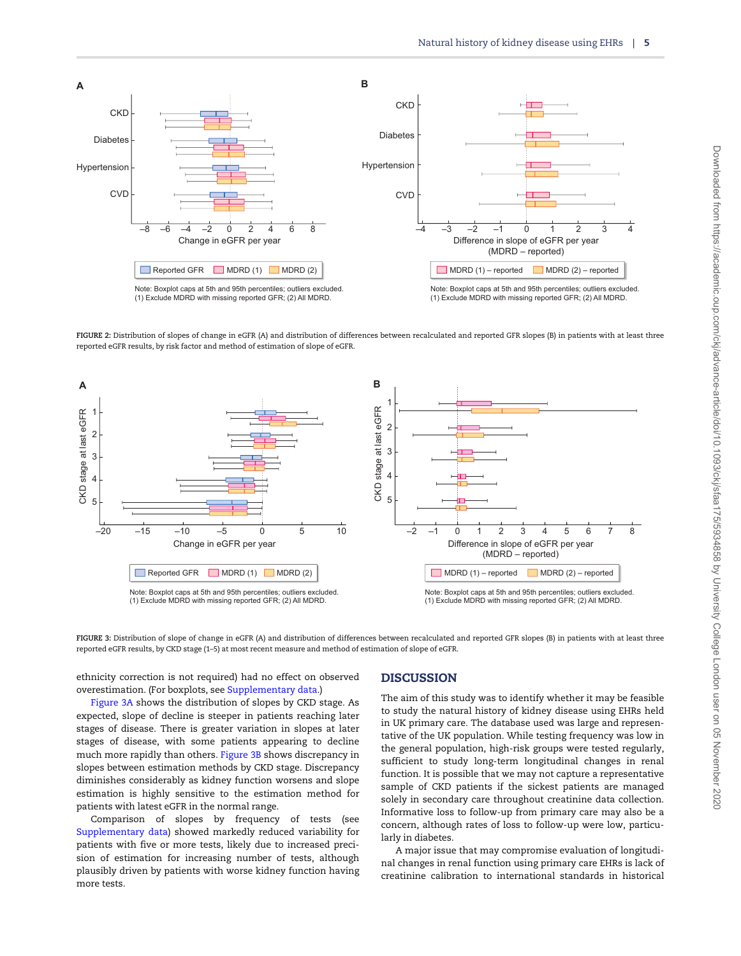<span id="page-4-0"></span>

FIGURE 2: Distribution of slopes of change in eGFR (A) and distribution of differences between recalculated and reported GFR slopes (B) in patients with at least three reported eGFR results, by risk factor and method of estimation of slope of eGFR.



FIGURE 3: Distribution of slope of change in eGFR (A) and distribution of differences between recalculated and reported GFR slopes (B) in patients with at least three reported eGFR results, by CKD stage (1–5) at most recent measure and method of estimation of slope of eGFR.

ethnicity correction is not required) had no effect on observed overestimation. (For boxplots, see [Supplementary data](https://academic.oup.com/ckjarticle-lookup/doi/10.1093/ckj/sfaa175#supplementary-data).)

## Figure 3A shows the distribution of slopes by CKD stage. As expected, slope of decline is steeper in patients reaching later stages of disease. There is greater variation in slopes at later stages of disease, with some patients appearing to decline much more rapidly than others. Figure 3B shows discrepancy in slopes between estimation methods by CKD stage. Discrepancy diminishes considerably as kidney function worsens and slope estimation is highly sensitive to the estimation method for patients with latest eGFR in the normal range.

Comparison of slopes by frequency of tests (see [Supplementary data\)](https://academic.oup.com/ckjarticle-lookup/doi/10.1093/ckj/sfaa175#supplementary-data) showed markedly reduced variability for patients with five or more tests, likely due to increased precision of estimation for increasing number of tests, although plausibly driven by patients with worse kidney function having more tests.

# **DISCUSSION**

The aim of this study was to identify whether it may be feasible to study the natural history of kidney disease using EHRs held in UK primary care. The database used was large and representative of the UK population. While testing frequency was low in the general population, high-risk groups were tested regularly, sufficient to study long-term longitudinal changes in renal function. It is possible that we may not capture a representative sample of CKD patients if the sickest patients are managed solely in secondary care throughout creatinine data collection. Informative loss to follow-up from primary care may also be a concern, although rates of loss to follow-up were low, particularly in diabetes.

A major issue that may compromise evaluation of longitudinal changes in renal function using primary care EHRs is lack of creatinine calibration to international standards in historical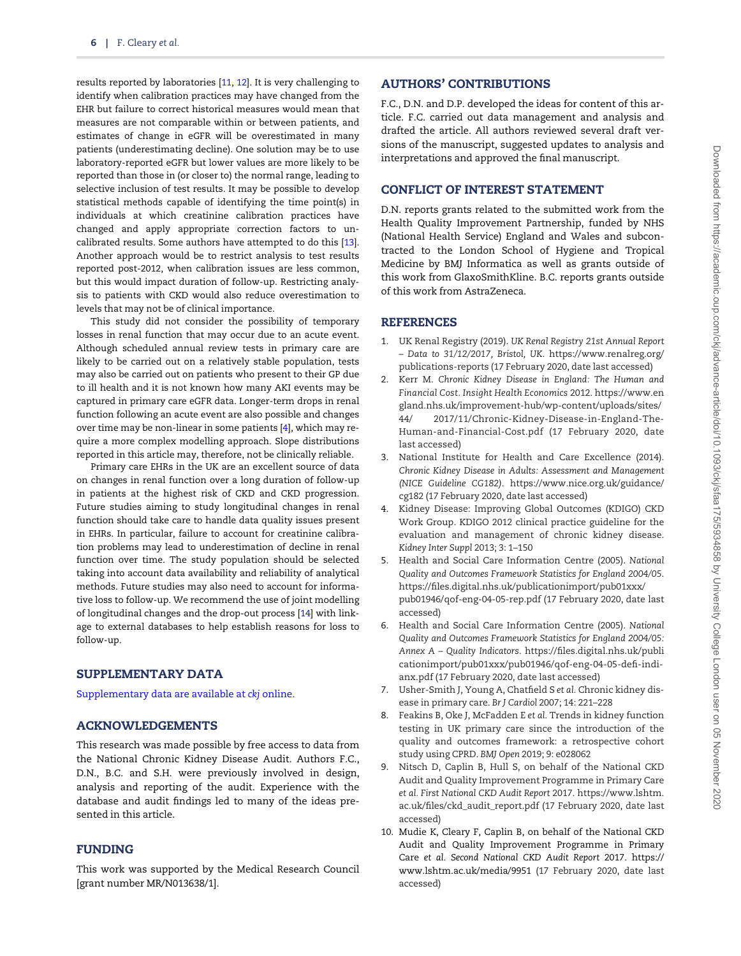<span id="page-5-0"></span>results reported by laboratories [\[11](#page-6-0), [12\]](#page-6-0). It is very challenging to identify when calibration practices may have changed from the EHR but failure to correct historical measures would mean that measures are not comparable within or between patients, and estimates of change in eGFR will be overestimated in many patients (underestimating decline). One solution may be to use laboratory-reported eGFR but lower values are more likely to be reported than those in (or closer to) the normal range, leading to selective inclusion of test results. It may be possible to develop statistical methods capable of identifying the time point(s) in individuals at which creatinine calibration practices have changed and apply appropriate correction factors to uncalibrated results. Some authors have attempted to do this [\[13\]](#page-6-0). Another approach would be to restrict analysis to test results reported post-2012, when calibration issues are less common, but this would impact duration of follow-up. Restricting analysis to patients with CKD would also reduce overestimation to levels that may not be of clinical importance.

This study did not consider the possibility of temporary losses in renal function that may occur due to an acute event. Although scheduled annual review tests in primary care are likely to be carried out on a relatively stable population, tests may also be carried out on patients who present to their GP due to ill health and it is not known how many AKI events may be captured in primary care eGFR data. Longer-term drops in renal function following an acute event are also possible and changes over time may be non-linear in some patients [4], which may require a more complex modelling approach. Slope distributions reported in this article may, therefore, not be clinically reliable.

Primary care EHRs in the UK are an excellent source of data on changes in renal function over a long duration of follow-up in patients at the highest risk of CKD and CKD progression. Future studies aiming to study longitudinal changes in renal function should take care to handle data quality issues present in EHRs. In particular, failure to account for creatinine calibration problems may lead to underestimation of decline in renal function over time. The study population should be selected taking into account data availability and reliability of analytical methods. Future studies may also need to account for informative loss to follow-up. We recommend the use of joint modelling of longitudinal changes and the drop-out process [\[14\]](#page-6-0) with linkage to external databases to help establish reasons for loss to follow-up.

## SUPPLEMENTARY DATA

[Supplementary data are available at](https://academic.oup.com/ckjarticle-lookup/doi/10.1093/ckj/sfaa175#supplementary-data) ckj online.

## ACKNOWLEDGEMENTS

This research was made possible by free access to data from the National Chronic Kidney Disease Audit. Authors F.C., D.N., B.C. and S.H. were previously involved in design, analysis and reporting of the audit. Experience with the database and audit findings led to many of the ideas presented in this article.

## FUNDING

This work was supported by the Medical Research Council [grant number MR/N013638/1].

## AUTHORS' CONTRIBUTIONS

F.C., D.N. and D.P. developed the ideas for content of this article. F.C. carried out data management and analysis and drafted the article. All authors reviewed several draft versions of the manuscript, suggested updates to analysis and interpretations and approved the final manuscript.

## CONFLICT OF INTEREST STATEMENT

D.N. reports grants related to the submitted work from the Health Quality Improvement Partnership, funded by NHS (National Health Service) England and Wales and subcontracted to the London School of Hygiene and Tropical Medicine by BMJ Informatica as well as grants outside of this work from GlaxoSmithKline. B.C. reports grants outside of this work from AstraZeneca.

## **REFERENCES**

- 1. UK Renal Registry (2019). UK Renal Registry 21st Annual Report – Data to 31/12/2017, Bristol, UK. [https://www.renalreg.org/](https://www.renalreg.org/publications-reports ) [publications-reports](https://www.renalreg.org/publications-reports ) (17 February 2020, date last accessed)
- 2. Kerr M. Chronic Kidney Disease in England: The Human and Financial Cost. Insight Health Economics 2012. [https://www.en](https://www.england.nhs.uk/improvement-hub/wp-content/uploads/sites/44/ 2017/11/Chronic-Kidney-Disease-in-England-The-Human-and-Financial-Cost.pdf) [gland.nhs.uk/improvement-hub/wp-content/uploads/sites/](https://www.england.nhs.uk/improvement-hub/wp-content/uploads/sites/44/ 2017/11/Chronic-Kidney-Disease-in-England-The-Human-and-Financial-Cost.pdf) [44/ 2017/11/Chronic-Kidney-Disease-in-England-The-](https://www.england.nhs.uk/improvement-hub/wp-content/uploads/sites/44/ 2017/11/Chronic-Kidney-Disease-in-England-The-Human-and-Financial-Cost.pdf)[Human-and-Financial-Cost.pdf](https://www.england.nhs.uk/improvement-hub/wp-content/uploads/sites/44/ 2017/11/Chronic-Kidney-Disease-in-England-The-Human-and-Financial-Cost.pdf) (17 February 2020, date last accessed)
- [3](#page-1-0). National Institute for Health and Care Excellence (2014). Chronic Kidney Disease in Adults: Assessment and Management (NICE Guideline CG182). [https://www.nice.org.uk/guidance/](https://www.nice.org.uk/guidance/cg182) [cg182](https://www.nice.org.uk/guidance/cg182) (17 February 2020, date last accessed)
- [4](#page-1-0). Kidney Disease: Improving Global Outcomes (KDIGO) CKD Work Group. KDIGO 2012 clinical practice guideline for the evaluation and management of chronic kidney disease. Kidney Inter Suppl 2013; 3: 1–150
- [5](#page-1-0). Health and Social Care Information Centre (2005). National Quality and Outcomes Framework Statistics for England 2004/05. [https://files.digital.nhs.uk/publicationimport/pub01xxx/](https://files.digital.nhs.uk/publicationimport/pub01xxx/pub01946/qof-eng-04-05-rep.pdf) [pub01946/qof-eng-04-05-rep.pdf](https://files.digital.nhs.uk/publicationimport/pub01xxx/pub01946/qof-eng-04-05-rep.pdf) (17 February 2020, date last accessed)
- 6. Health and Social Care Information Centre (2005). National Quality and Outcomes Framework Statistics for England 2004/05: Annex A – Quality Indicators. [https://files.digital.nhs.uk/publi](https://files.digital.nhs.uk/publicationimport/pub01xxx/pub01946/qof-eng-04-05-defi-indi-anx.pdf) [cationimport/pub01xxx/pub01946/qof-eng-04-05-defi-indi](https://files.digital.nhs.uk/publicationimport/pub01xxx/pub01946/qof-eng-04-05-defi-indi-anx.pdf)[anx.pdf](https://files.digital.nhs.uk/publicationimport/pub01xxx/pub01946/qof-eng-04-05-defi-indi-anx.pdf) (17 February 2020, date last accessed)
- [7](#page-1-0). Usher-Smith J, Young A, Chatfield S et al. Chronic kidney disease in primary care. Br J Cardiol 2007; 14: 221–228
- [8](#page-1-0). Feakins B, Oke J, McFadden E et al. Trends in kidney function testing in UK primary care since the introduction of the quality and outcomes framework: a retrospective cohort study using CPRD. BMJ Open 2019; 9: e028062
- [9](#page-1-0). Nitsch D, Caplin B, Hull S, on behalf of the National CKD Audit and Quality Improvement Programme in Primary Care et al. First National CKD Audit Report 2017. [https://www.lshtm.](https://www.lshtm.ac.uk/files/ckd_audit_report.pdf) [ac.uk/files/ckd\\_audit\\_report.pdf](https://www.lshtm.ac.uk/files/ckd_audit_report.pdf) (17 February 2020, date last accessed)
- [10](#page-1-0). Mudie K, Cleary F, Caplin B, on behalf of the National CKD Audit and Quality Improvement Programme in Primary Care et al. Second National CKD Audit Report 2017. [https://](https://www.lshtm.ac.uk/media/9951) [www.lshtm.ac.uk/media/9951](https://www.lshtm.ac.uk/media/9951) (17 February 2020, date last accessed)